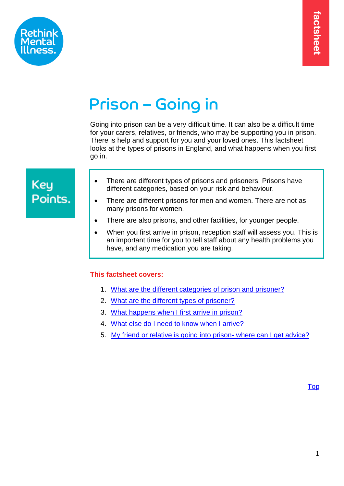

# Prison – Going in

Going into prison can be a very difficult time. It can also be a difficult time for your carers, relatives, or friends, who may be supporting you in prison. There is help and support for you and your loved ones. This factsheet looks at the types of prisons in England, and what happens when you first go in.

## **Key** Points.

- There are different types of prisons and prisoners. Prisons have different categories, based on your risk and behaviour.
- There are different prisons for men and women. There are not as many prisons for women.
- There are also prisons, and other facilities, for younger people.
- When you first arrive in prison, reception staff will assess you. This is an important time for you to tell staff about any health problems you have, and any medication you are taking.

#### <span id="page-0-0"></span>**This factsheet covers:**

- 1. [What are the different categories of prison and prisoner?](#page-1-0)
- 2. [What are the different types of prisoner?](#page-3-0)
- 3. [What happens when I first arrive in prison?](#page-7-0)
- 4. [What else do I need to know when I arrive?](#page-8-0)
- 5. My friend [or relative is going into prison-](#page-10-0) where can I get advice?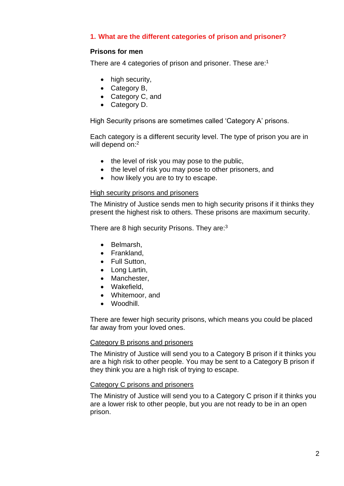#### <span id="page-1-0"></span>**1. What are the different categories of prison and prisoner?**

#### **Prisons for men**

There are 4 categories of prison and prisoner. These are:<sup>1</sup>

- high security,
- Category B,
- Category C, and
- Category D.

High Security prisons are sometimes called 'Category A' prisons.

Each category is a different security level. The type of prison you are in will depend on: 2

- the level of risk you may pose to the public,
- the level of risk you may pose to other prisoners, and
- how likely you are to try to escape.

#### High security prisons and prisoners

The Ministry of Justice sends men to high security prisons if it thinks they present the highest risk to others. These prisons are maximum security.

There are 8 high security Prisons. They are:<sup>3</sup>

- Belmarsh,
- Frankland,
- Full Sutton,
- Long Lartin,
- Manchester,
- Wakefield,
- Whitemoor, and
- Woodhill.

There are fewer high security prisons, which means you could be placed far away from your loved ones.

#### Category B prisons and prisoners

The Ministry of Justice will send you to a Category B prison if it thinks you are a high risk to other people. You may be sent to a Category B prison if they think you are a high risk of trying to escape.

#### Category C prisons and prisoners

The Ministry of Justice will send you to a Category C prison if it thinks you are a lower risk to other people, but you are not ready to be in an open prison.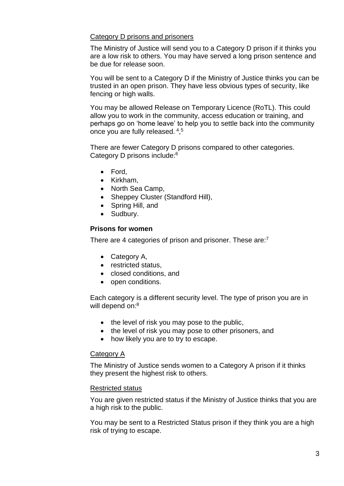#### Category D prisons and prisoners

The Ministry of Justice will send you to a Category D prison if it thinks you are a low risk to others. You may have served a long prison sentence and be due for release soon.

You will be sent to a Category D if the Ministry of Justice thinks you can be trusted in an open prison. They have less obvious types of security, like fencing or high walls.

You may be allowed Release on Temporary Licence (RoTL). This could allow you to work in the community, access education or training, and perhaps go on 'home leave' to help you to settle back into the community once you are fully released. <sup>4</sup>,<sup>5</sup>

There are fewer Category D prisons compared to other categories. Category D prisons include:<sup>6</sup>

- Ford,
- Kirkham,
- North Sea Camp,
- Sheppey Cluster (Standford Hill),
- Spring Hill, and
- Sudbury.

#### **Prisons for women**

There are 4 categories of prison and prisoner. These are:<sup>7</sup>

- Category A,
- restricted status,
- closed conditions, and
- open conditions.

Each category is a different security level. The type of prison you are in will depend on:<sup>8</sup>

- the level of risk you may pose to the public,
- the level of risk you may pose to other prisoners, and
- how likely you are to try to escape.

#### Category A

The Ministry of Justice sends women to a Category A prison if it thinks they present the highest risk to others.

#### Restricted status

You are given restricted status if the Ministry of Justice thinks that you are a high risk to the public.

You may be sent to a Restricted Status prison if they think you are a high risk of trying to escape.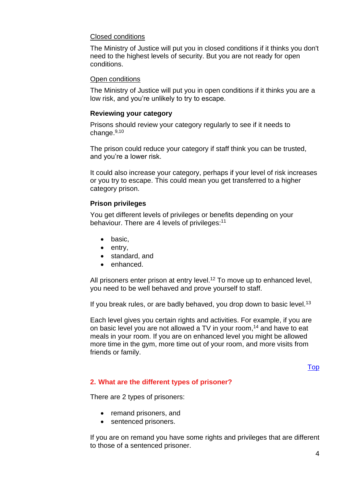#### Closed conditions

The Ministry of Justice will put you in closed conditions if it thinks you don't need to the highest levels of security. But you are not ready for open conditions.

#### Open conditions

The Ministry of Justice will put you in open conditions if it thinks you are a low risk, and you're unlikely to try to escape.

#### **Reviewing your category**

Prisons should review your category regularly to see if it needs to change.<sup>9,10</sup>

The prison could reduce your category if staff think you can be trusted, and you're a lower risk.

It could also increase your category, perhaps if your level of risk increases or you try to escape. This could mean you get transferred to a higher category prison.

#### **Prison privileges**

You get different levels of privileges or benefits depending on your behaviour. There are 4 levels of privileges:<sup>11</sup>

- basic,
- entry,
- standard, and
- enhanced.

All prisoners enter prison at entry level.<sup>12</sup> To move up to enhanced level, you need to be well behaved and prove yourself to staff.

If you break rules, or are badly behaved, you drop down to basic level.<sup>13</sup>

Each level gives you certain rights and activities. For example, if you are on basic level you are not allowed a TV in your room, <sup>14</sup> and have to eat meals in your room. If you are on enhanced level you might be allowed more time in the gym, more time out of your room, and more visits from friends or family.

[Top](#page-0-0)

#### <span id="page-3-0"></span>**2. What are the different types of prisoner?**

There are 2 types of prisoners:

- remand prisoners, and
- sentenced prisoners.

If you are on remand you have some rights and privileges that are different to those of a sentenced prisoner.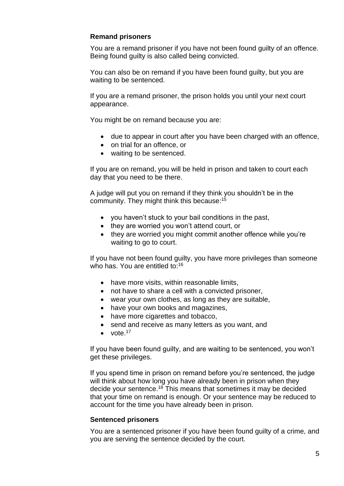#### **Remand prisoners**

You are a remand prisoner if you have not been found guilty of an offence. Being found guilty is also called being convicted.

You can also be on remand if you have been found guilty, but you are waiting to be sentenced.

If you are a remand prisoner, the prison holds you until your next court appearance.

You might be on remand because you are:

- due to appear in court after you have been charged with an offence,
- on trial for an offence, or
- waiting to be sentenced.

If you are on remand, you will be held in prison and taken to court each day that you need to be there.

A judge will put you on remand if they think you shouldn't be in the community. They might think this because: 15

- you haven't stuck to your bail conditions in the past,
- they are worried you won't attend court, or
- they are worried you might commit another offence while you're waiting to go to court.

If you have not been found guilty, you have more privileges than someone who has. You are entitled to: 16

- have more visits, within reasonable limits,
- not have to share a cell with a convicted prisoner,
- wear your own clothes, as long as they are suitable,
- have your own books and magazines,
- have more cigarettes and tobacco,
- send and receive as many letters as you want, and
- $\bullet$  vote.<sup>17</sup>

If you have been found guilty, and are waiting to be sentenced, you won't get these privileges.

If you spend time in prison on remand before you're sentenced, the judge will think about how long you have already been in prison when they decide your sentence.<sup>18</sup> This means that sometimes it may be decided that your time on remand is enough. Or your sentence may be reduced to account for the time you have already been in prison.

#### **Sentenced prisoners**

You are a sentenced prisoner if you have been found guilty of a crime, and you are serving the sentence decided by the court.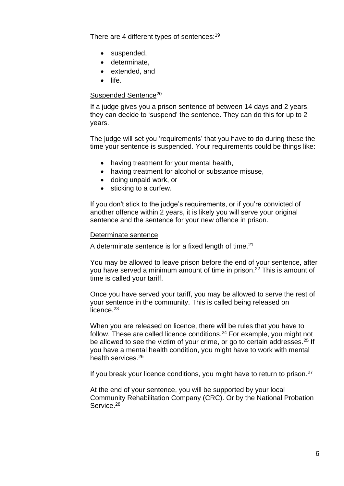There are 4 different types of sentences:<sup>19</sup>

- suspended,
- determinate,
- extended, and
- life.

#### Suspended Sentence<sup>20</sup>

If a judge gives you a prison sentence of between 14 days and 2 years, they can decide to 'suspend' the sentence. They can do this for up to 2 years.

The judge will set you 'requirements' that you have to do during these the time your sentence is suspended. Your requirements could be things like:

- having treatment for your mental health,
- having treatment for alcohol or substance misuse,
- doing unpaid work, or
- sticking to a curfew.

If you don't stick to the judge's requirements, or if you're convicted of another offence within 2 years, it is likely you will serve your original sentence and the sentence for your new offence in prison.

#### Determinate sentence

A determinate sentence is for a fixed length of time.<sup>21</sup>

You may be allowed to leave prison before the end of your sentence, after you have served a minimum amount of time in prison. <sup>22</sup> This is amount of time is called your tariff.

Once you have served your tariff, you may be allowed to serve the rest of your sentence in the community. This is called being released on licence.<sup>23</sup>

When you are released on licence, there will be rules that you have to follow. These are called licence conditions.<sup>24</sup> For example, you might not be allowed to see the victim of your crime, or go to certain addresses.<sup>25</sup> If you have a mental health condition, you might have to work with mental health services.<sup>26</sup>

If you break your licence conditions, you might have to return to prison.<sup>27</sup>

At the end of your sentence, you will be supported by your local Community Rehabilitation Company (CRC). Or by the National Probation Service.<sup>28</sup>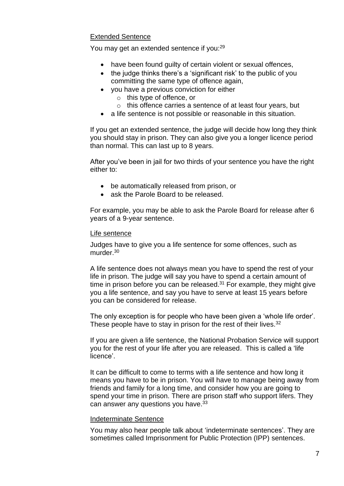#### Extended Sentence

You may get an extended sentence if you:<sup>29</sup>

- have been found guilty of certain violent or sexual offences,
- the judge thinks there's a 'significant risk' to the public of you committing the same type of offence again,
- you have a previous conviction for either
	- o this type of offence, or
	- o this offence carries a sentence of at least four years, but
- a life sentence is not possible or reasonable in this situation.

If you get an extended sentence, the judge will decide how long they think you should stay in prison. They can also give you a longer licence period than normal. This can last up to 8 years.

After you've been in jail for two thirds of your sentence you have the right either to:

- be automatically released from prison, or
- ask the Parole Board to be released.

For example, you may be able to ask the Parole Board for release after 6 years of a 9-year sentence.

#### Life sentence

Judges have to give you a life sentence for some offences, such as murder.<sup>30</sup>

A life sentence does not always mean you have to spend the rest of your life in prison. The judge will say you have to spend a certain amount of time in prison before you can be released.<sup>31</sup> For example, they might give you a life sentence, and say you have to serve at least 15 years before you can be considered for release.

The only exception is for people who have been given a 'whole life order'. These people have to stay in prison for the rest of their lives.<sup>32</sup>

If you are given a life sentence, the National Probation Service will support you for the rest of your life after you are released. This is called a 'life licence'.

It can be difficult to come to terms with a life sentence and how long it means you have to be in prison. You will have to manage being away from friends and family for a long time, and consider how you are going to spend your time in prison. There are prison staff who support lifers. They can answer any questions you have.<sup>33</sup>

#### Indeterminate Sentence

You may also hear people talk about 'indeterminate sentences'. They are sometimes called Imprisonment for Public Protection (IPP) sentences.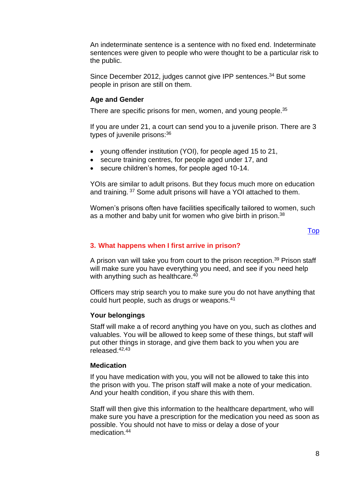An indeterminate sentence is a sentence with no fixed end. Indeterminate sentences were given to people who were thought to be a particular risk to the public.

Since December 2012, judges cannot give IPP sentences.<sup>34</sup> But some people in prison are still on them.

#### **Age and Gender**

There are specific prisons for men, women, and young people.<sup>35</sup>

If you are under 21, a court can send you to a juvenile prison. There are 3 types of juvenile prisons: 36

- young offender institution (YOI), for people aged 15 to 21,
- secure training centres, for people aged under 17, and
- secure children's homes, for people aged 10-14.

YOIs are similar to adult prisons. But they focus much more on education and training. <sup>37</sup> Some adult prisons will have a YOI attached to them.

Women's prisons often have facilities specifically tailored to women, such as a mother and baby unit for women who give birth in prison.<sup>38</sup>

#### [Top](#page-0-0)

#### <span id="page-7-0"></span>**3. What happens when I first arrive in prison?**

A prison van will take you from court to the prison reception.<sup>39</sup> Prison staff will make sure you have everything you need, and see if you need help with anything such as healthcare.<sup>40</sup>

Officers may strip search you to make sure you do not have anything that could hurt people, such as drugs or weapons.<sup>41</sup>

#### **Your belongings**

Staff will make a of record anything you have on you, such as clothes and valuables. You will be allowed to keep some of these things, but staff will put other things in storage, and give them back to you when you are released.42,43

#### **Medication**

If you have medication with you, you will not be allowed to take this into the prison with you. The prison staff will make a note of your medication. And your health condition, if you share this with them.

Staff will then give this information to the healthcare department, who will make sure you have a prescription for the medication you need as soon as possible. You should not have to miss or delay a dose of your medication. 44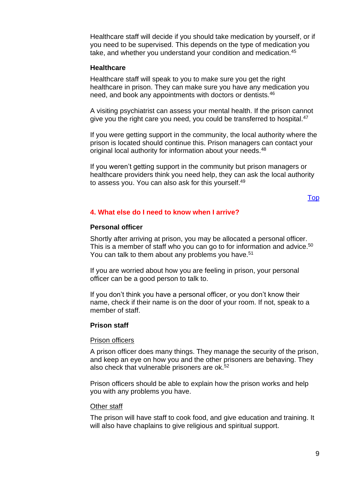Healthcare staff will decide if you should take medication by yourself, or if you need to be supervised. This depends on the type of medication you take, and whether you understand your condition and medication.<sup>45</sup>

#### **Healthcare**

Healthcare staff will speak to you to make sure you get the right healthcare in prison. They can make sure you have any medication you need, and book any appointments with doctors or dentists.<sup>46</sup>

A visiting psychiatrist can assess your mental health. If the prison cannot give you the right care you need, you could be transferred to hospital.<sup>47</sup>

If you were getting support in the community, the local authority where the prison is located should continue this. Prison managers can contact your original local authority for information about your needs.<sup>48</sup>

If you weren't getting support in the community but prison managers or healthcare providers think you need help, they can ask the local authority to assess you. You can also ask for this yourself.<sup>49</sup>

#### <span id="page-8-0"></span>[Top](#page-0-0)

#### **4. What else do I need to know when I arrive?**

#### **Personal officer**

Shortly after arriving at prison, you may be allocated a personal officer. This is a member of staff who you can go to for information and advice.<sup>50</sup> You can talk to them about any problems you have.<sup>51</sup>

If you are worried about how you are feeling in prison, your personal officer can be a good person to talk to.

If you don't think you have a personal officer, or you don't know their name, check if their name is on the door of your room. If not, speak to a member of staff.

#### **Prison staff**

#### Prison officers

A prison officer does many things. They manage the security of the prison, and keep an eye on how you and the other prisoners are behaving. They also check that vulnerable prisoners are  $ok.52$ 

Prison officers should be able to explain how the prison works and help you with any problems you have.

#### **Other staff**

The prison will have staff to cook food, and give education and training. It will also have chaplains to give religious and spiritual support.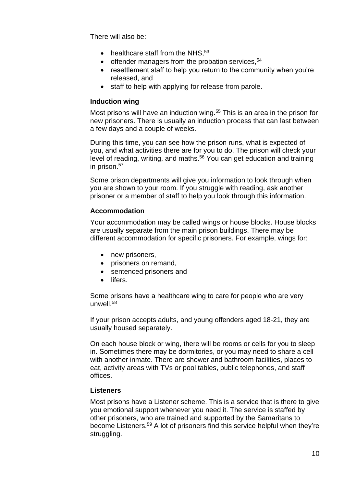There will also be:

- healthcare staff from the NHS,  $53$
- $\bullet$  offender managers from the probation services,  $54$
- resettlement staff to help you return to the community when you're released, and
- staff to help with applying for release from parole.

#### **Induction wing**

Most prisons will have an induction wing.<sup>55</sup> This is an area in the prison for new prisoners. There is usually an induction process that can last between a few days and a couple of weeks.

During this time, you can see how the prison runs, what is expected of you, and what activities there are for you to do. The prison will check your level of reading, writing, and maths.<sup>56</sup> You can get education and training in prison.<sup>57</sup>

Some prison departments will give you information to look through when you are shown to your room. If you struggle with reading, ask another prisoner or a member of staff to help you look through this information.

#### **Accommodation**

Your accommodation may be called wings or house blocks. House blocks are usually separate from the main prison buildings. There may be different accommodation for specific prisoners. For example, wings for:

- new prisoners,
- prisoners on remand,
- sentenced prisoners and
- lifers.

Some prisons have a healthcare wing to care for people who are very unwell.<sup>58</sup>

If your prison accepts adults, and young offenders aged 18-21, they are usually housed separately.

On each house block or wing, there will be rooms or cells for you to sleep in. Sometimes there may be dormitories, or you may need to share a cell with another inmate. There are shower and bathroom facilities, places to eat, activity areas with TVs or pool tables, public telephones, and staff offices.

#### **Listeners**

Most prisons have a Listener scheme. This is a service that is there to give you emotional support whenever you need it. The service is staffed by other prisoners, who are trained and supported by the Samaritans to become Listeners.<sup>59</sup> A lot of prisoners find this service helpful when they're struggling.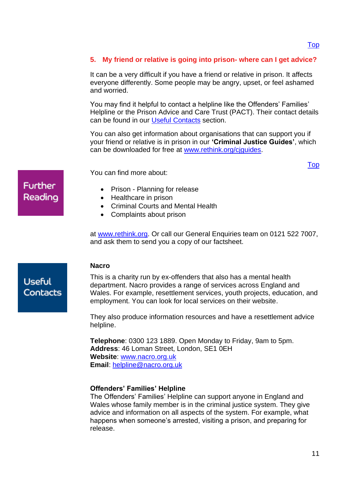[Top](#page-0-0)

#### <span id="page-10-0"></span>**5. My friend or relative is going into prison- where can I get advice?**

It can be a very difficult if you have a friend or relative in prison. It affects everyone differently. Some people may be angry, upset, or feel ashamed and worried.

You may find it helpful to contact a helpline like the Offenders' Families' Helpline or the Prison Advice and Care Trust (PACT). Their contact details can be found in our [Useful Contacts](#page-10-1) section.

You can also get information about organisations that can support you if your friend or relative is in prison in our **'Criminal Justice Guides'**, which can be downloaded for free at [www.rethink.org/cjguides.](http://www.rethink.org/cjguides)

You can find more about:

- Prison Planning for release
- Healthcare in prison
- Criminal Courts and Mental Health
- Complaints about prison

at [www.rethink.org.](http://www.rethink.org/) Or call our General Enquiries team on 0121 522 7007, and ask them to send you a copy of our factsheet.

#### **Nacro**

<span id="page-10-1"></span>This is a charity run by ex-offenders that also has a mental health department. Nacro provides a range of services across England and Wales. For example, resettlement services, youth projects, education, and employment. You can look for local services on their website.

They also produce information resources and have a resettlement advice helpline.

**Telephone**: 0300 123 1889. Open Monday to Friday, 9am to 5pm. **Address**: 46 Loman Street, London, SE1 0EH **Website**: [www.nacro.org.uk](http://www.nacro.org.uk/) **Email**: [helpline@nacro.org.uk](mailto:helpline@nacro.org.uk)

#### **Offenders' Families' Helpline**

The Offenders' Families' Helpline can support anyone in England and Wales whose family member is in the criminal justice system. They give advice and information on all aspects of the system. For example, what happens when someone's arrested, visiting a prison, and preparing for release.

### **Further** Reading

**Useful** Contacts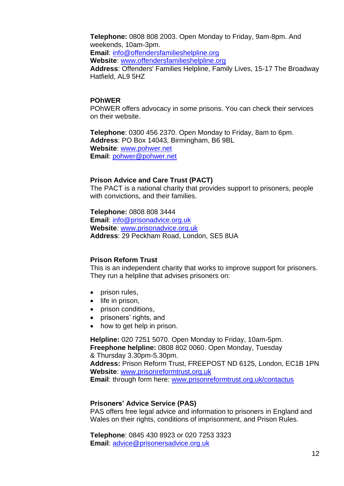**Telephone:** 0808 808 2003. Open Monday to Friday, 9am-8pm. And weekends, 10am-3pm. **Email**: [info@offendersfamilieshelpline.org](mailto:info@offendersfamilieshelpline.org) **Website**: [www.offendersfamilieshelpline.org](http://www.offendersfamilieshelpline.org/) **Address**: Offenders' Families Helpline, Family Lives, 15-17 The Broadway Hatfield, AL9 5HZ

#### **POhWER**

POhWER offers advocacy in some prisons. You can check their services on their website.

**Telephone**: 0300 456 2370. Open Monday to Friday, 8am to 6pm. **Address**: PO Box 14043, Birmingham, B6 9BL **Website**: [www.pohwer.net](http://www.pohwer.net/) **Email**: [pohwer@pohwer.net](mailto:pohwer@pohwer.net)

#### **Prison Advice and Care Trust (PACT)**

The PACT is a national charity that provides support to prisoners, people with convictions, and their families.

**Telephone:** 0808 808 3444 **Email**: [info@prisonadvice.org.uk](mailto:info@prisonadvice.org.uk) **Website**: [www.prisonadvice.org.uk](http://www.prisonadvice.org.uk/) **Address**: 29 Peckham Road, London, SE5 8UA

#### **Prison Reform Trust**

This is an independent charity that works to improve support for prisoners. They run a helpline that advises prisoners on:

- prison rules,
- life in prison,
- prison conditions,
- prisoners' rights, and
- how to get help in prison.

**Helpline:** 020 7251 5070. Open Monday to Friday, 10am-5pm. **Freephone helpline:** 0808 802 0060. Open Monday, Tuesday & Thursday 3.30pm-5.30pm. **Address:** Prison Reform Trust, FREEPOST ND 6125, London, EC1B 1PN

**Website**: [www.prisonreformtrust.org.uk](http://www.prisonreformtrust.org.uk/)  **Email**: through form here: [www.prisonreformtrust.org.uk/contactus](http://www.prisonreformtrust.org.uk/contactus)

#### **Prisoners' Advice Service (PAS)**

PAS offers free legal advice and information to prisoners in England and Wales on their rights, conditions of imprisonment, and Prison Rules.

**Telephone**: 0845 430 8923 or 020 7253 3323 **Email**: [advice@prisonersadvice.org.uk](mailto:advice@prisonersadvice.org.uk)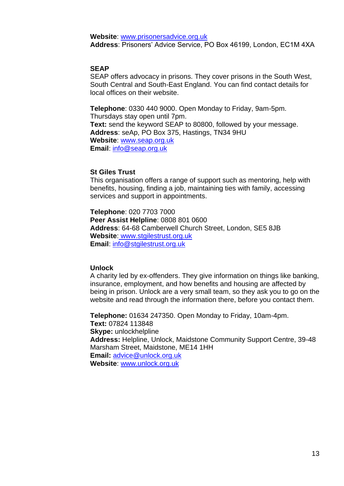**Website**: [www.prisonersadvice.org.uk](http://www.prisonersadvice.org.uk/) **Address**: Prisoners' Advice Service, PO Box 46199, London, EC1M 4XA

#### **SEAP**

SEAP offers advocacy in prisons. They cover prisons in the South West, South Central and South-East England. You can find contact details for local offices on their website.

**Telephone**: 0330 440 9000. Open Monday to Friday, 9am-5pm. Thursdays stay open until 7pm. **Text:** send the keyword SEAP to 80800, followed by your message. **Address**: seAp, PO Box 375, Hastings, TN34 9HU **Website**: [www.seap.org.uk](http://www.seap.org.uk/) **Email**: [info@seap.org.uk](mailto:info@seap.org.uk) 

#### **St Giles Trust**

This organisation offers a range of support such as mentoring, help with benefits, housing, finding a job, maintaining ties with family, accessing services and support in appointments.

**Telephone**: 020 7703 7000 **Peer Assist Helpline**: 0808 801 0600 **Address**: 64-68 Camberwell Church Street, London, SE5 8JB **Website**: [www.stgilestrust.org.uk](http://www.stgilestrust.org.uk/) **Email**: [info@stgilestrust.org.uk](mailto:info@stgilestrust.org.uk)

#### **Unlock**

A charity led by ex-offenders. They give information on things like banking, insurance, employment, and how benefits and housing are affected by being in prison. Unlock are a very small team, so they ask you to go on the website and read through the information there, before you contact them.

**Telephone:** 01634 247350. Open Monday to Friday, 10am-4pm. **Text:** 07824 113848 **Skype:** unlockhelpline **Address:** Helpline, Unlock, Maidstone Community Support Centre, 39-48 Marsham Street, Maidstone, ME14 1HH **Email:** [advice@unlock.org.uk](mailto:advice@unlock.org.uk) **Website**: [www.unlock.org.uk](http://www.unlock.org.uk/)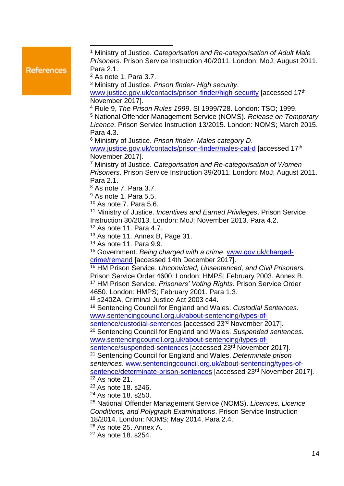#### **References**

<sup>1</sup> Ministry of Justice. *Categorisation and Re-categorisation of Adult Male Prisoners*. Prison Service Instruction 40/2011. London: MoJ; August 2011. Para 2.1.

<sup>2</sup> As note 1. Para 3.7.

<sup>3</sup> Ministry of Justice. *Prison finder- High security*.

[www.justice.gov.uk/contacts/prison-finder/high-security](http://www.justice.gov.uk/contacts/prison-finder/high-security) [accessed 17<sup>th</sup> November 2017].

<sup>4</sup> Rule 9, *The Prison Rules 1999*. SI 1999/728. London: TSO; 1999.

<sup>5</sup> National Offender Management Service (NOMS). *Release on Temporary Licence*. Prison Service Instruction 13/2015. London: NOMS; March 2015. Para 4.3.

<sup>6</sup> Ministry of Justice. *Prison finder- Males category D*. [www.justice.gov.uk/contacts/prison-finder/males-cat-d](http://www.justice.gov.uk/contacts/prison-finder/males-cat-d) [accessed 17<sup>th</sup> November 2017].

<sup>7</sup> Ministry of Justice. *Categorisation and Re-categorisation of Women Prisoners*. Prison Service Instruction 39/2011. London: MoJ; August 2011. Para 2.1.

<sup>8</sup> As note 7. Para 3.7.

<sup>9</sup> As note 1. Para 5.5.

<sup>10</sup> As note 7. Para 5.6.

<sup>11</sup> Ministry of Justice. *Incentives and Earned Privileges*. Prison Service Instruction 30/2013. London: MoJ; November 2013. Para 4.2.

<sup>12</sup> As note 11*.* Para 4.7.

<sup>13</sup> As note 11*.* Annex B, Page 31.

<sup>14</sup> As note 11*.* Para 9.9.

<sup>15</sup> Government. *Being charged with a crime*. [www.gov.uk/charged](http://www.gov.uk/charged-crime/remand)[crime/remand](http://www.gov.uk/charged-crime/remand) [accessed 14th December 2017].

<sup>16</sup> HM Prison Service. *Unconvicted, Unsentenced, and Civil Prisoners.*  Prison Service Order 4600. London: HMPS; February 2003. Annex B. <sup>17</sup> HM Prison Service. *Prisoners' Voting Rights.* Prison Service Order 4650. London: HMPS; February 2001. Para 1.3.

<sup>18</sup> s240ZA, Criminal Justice Act 2003 c44.

<sup>19</sup> Sentencing Council for England and Wales. *Custodial Sentences*. [www.sentencingcouncil.org.uk/about-sentencing/types-of-](http://www.sentencingcouncil.org.uk/about-sentencing/types-of-sentence/custodial-sentences)

[sentence/custodial-sentences](http://www.sentencingcouncil.org.uk/about-sentencing/types-of-sentence/custodial-sentences) [accessed 23rd November 2017].

<sup>20</sup> Sentencing Council for England and Wales. *Suspended sentences.* [www.sentencingcouncil.org.uk/about-sentencing/types-of-](http://www.sentencingcouncil.org.uk/about-sentencing/types-of-sentence/suspended-sentences)

[sentence/suspended-sentences](http://www.sentencingcouncil.org.uk/about-sentencing/types-of-sentence/suspended-sentences) [accessed 23<sup>rd</sup> November 2017]. <sup>21</sup> Sentencing Council for England and Wales. *Determinate prison* 

*sentences*. [www.sentencingcouncil.org.uk/about-sentencing/types-of](http://www.sentencingcouncil.org.uk/about-sentencing/types-of-sentence/determinate-prison-sentences)[sentence/determinate-prison-sentences](http://www.sentencingcouncil.org.uk/about-sentencing/types-of-sentence/determinate-prison-sentences) [accessed 23<sup>rd</sup> November 2017].  $\overline{22}$  As note 21.

<sup>23</sup> As note 18, s246.

<sup>24</sup> As note 18. s250.

<sup>25</sup> National Offender Management Service (NOMS). *Licences, Licence Conditions, and Polygraph Examinations*. Prison Service Instruction 18/2014. London: NOMS; May 2014. Para 2.4.

<sup>26</sup> As note 25. Annex A.

<sup>27</sup> As note 18. s254.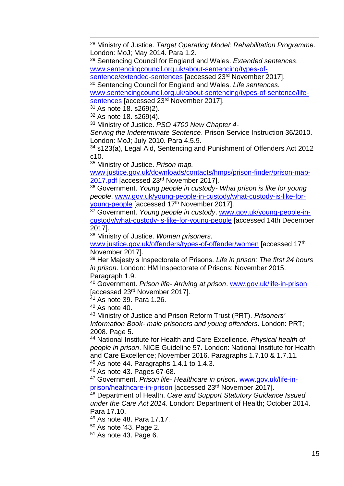<sup>28</sup> Ministry of Justice. *Target Operating Model: Rehabilitation Programme*. London: MoJ; May 2014. Para 1.2.

<sup>29</sup> Sentencing Council for England and Wales. *Extended sentences*. [www.sentencingcouncil.org.uk/about-sentencing/types-of-](http://www.sentencingcouncil.org.uk/about-sentencing/types-of-sentence/extended-sentences)

[sentence/extended-sentences](http://www.sentencingcouncil.org.uk/about-sentencing/types-of-sentence/extended-sentences) [accessed 23<sup>rd</sup> November 2017].

<sup>30</sup> Sentencing Council for England and Wales. *Life sentences.* [www.sentencingcouncil.org.uk/about-sentencing/types-of-sentence/life](http://www.sentencingcouncil.org.uk/about-sentencing/types-of-sentence/life-sentences)[sentences](http://www.sentencingcouncil.org.uk/about-sentencing/types-of-sentence/life-sentences) [accessed 23<sup>rd</sup> November 2017].

<sup>31</sup> As note 18. s269(2).

<sup>32</sup> As note 18. s269(4).

<sup>33</sup> Ministry of Justice. *PSO 4700 New Chapter 4-*

*Serving the Indeterminate Sentence*. Prison Service Instruction 36/2010. London: MoJ; July 2010. Para 4.5.9.

<sup>34</sup> s123(a), Legal Aid, Sentencing and Punishment of Offenders Act 2012 c10.

<sup>35</sup> Ministry of Justice. *Prison map.*

[www.justice.gov.uk/downloads/contacts/hmps/prison-finder/prison-map-](http://www.justice.gov.uk/downloads/contacts/hmps/prison-finder/prison-map-2017.pdf)[2017.pdf](http://www.justice.gov.uk/downloads/contacts/hmps/prison-finder/prison-map-2017.pdf) [accessed 23rd November 2017].

<sup>36</sup> Government. *Young people in custody- What prison is like for young people*. [www.gov.uk/young-people-in-custody/what-custody-is-like-for](http://www.gov.uk/young-people-in-custody/what-custody-is-like-for-young-people)[young-people](http://www.gov.uk/young-people-in-custody/what-custody-is-like-for-young-people) [accessed 17 th November 2017].

<sup>37</sup> Government. *Young people in custody*. [www.gov.uk/young-people-in](http://www.gov.uk/young-people-in-custody/what-custody-is-like-for-young-people)[custody/what-custody-is-like-for-young-people](http://www.gov.uk/young-people-in-custody/what-custody-is-like-for-young-people) [accessed 14th December 2017].

<sup>38</sup> Ministry of Justice. *Women prisoners*.

[www.justice.gov.uk/offenders/types-of-offender/women](http://www.justice.gov.uk/offenders/types-of-offender/women) [accessed 17<sup>th</sup> November 2017].

<sup>39</sup> Her Majesty's Inspectorate of Prisons. *Life in prison: The first 24 hours in prison*. London: HM Inspectorate of Prisons; November 2015. Paragraph 1.9.

<sup>40</sup> Government. *Prison life- Arriving at prison*. [www.gov.uk/life-in-prison](http://www.gov.uk/life-in-prison) [accessed 23rd November 2017].

<sup>41</sup> As note 39. Para 1.26.

 $42$  As note 40.

<sup>43</sup> Ministry of Justice and Prison Reform Trust (PRT). *Prisoners' Information Book- male prisoners and young offenders*. London: PRT; 2008. Page 5.

<sup>44</sup> National Institute for Health and Care Excellence. *Physical health of people in prison*. NICE Guideline 57. London: National Institute for Health and Care Excellence; November 2016. Paragraphs 1.7.10 & 1.7.11. <sup>45</sup> As note 44. Paragraphs 1.4.1 to 1.4.3.

<sup>46</sup> As note 43. Pages 67-68.

<sup>47</sup> Government. *Prison life- Healthcare in prison*. [www.gov.uk/life-in](http://www.gov.uk/life-in-prison/healthcare-in-prison)[prison/healthcare-in-prison](http://www.gov.uk/life-in-prison/healthcare-in-prison) [accessed 23rd November 2017].

<sup>48</sup> Department of Health. *Care and Support Statutory Guidance Issued under the Care Act 2014.* London: Department of Health; October 2014. Para 17.10.

<sup>49</sup> As note 48. Para 17.17.

 $50$  As note '43. Page 2.

 $51$  As note 43. Page 6.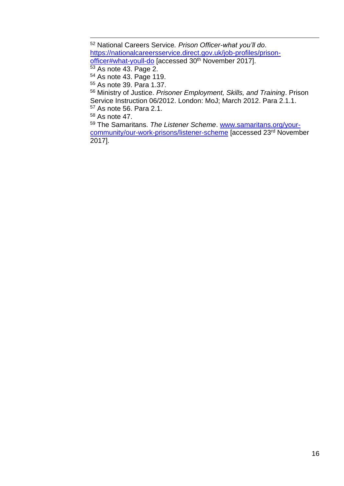National Careers Service*. Prison Officer-what you'll do*. [https://nationalcareersservice.direct.gov.uk/job-profiles/prison](https://nationalcareersservice.direct.gov.uk/job-profiles/prison-officer#what-youll-do)[officer#what-youll-do](https://nationalcareersservice.direct.gov.uk/job-profiles/prison-officer#what-youll-do) [accessed 30<sup>th</sup> November 2017]. As note 43. Page 2. As note 43. Page 119. As note 39. Para 1.37. Ministry of Justice. *Prisoner Employment, Skills, and Training*. Prison Service Instruction 06/2012. London: MoJ; March 2012. Para 2.1.1. As note 56. Para 2.1. As note 47.

 The Samaritans. *The Listener Scheme*. [www.samaritans.org/your](http://www.samaritans.org/your-community/our-work-prisons/listener-scheme)[community/our-work-prisons/listener-scheme](http://www.samaritans.org/your-community/our-work-prisons/listener-scheme) [accessed 23rd November 2017].